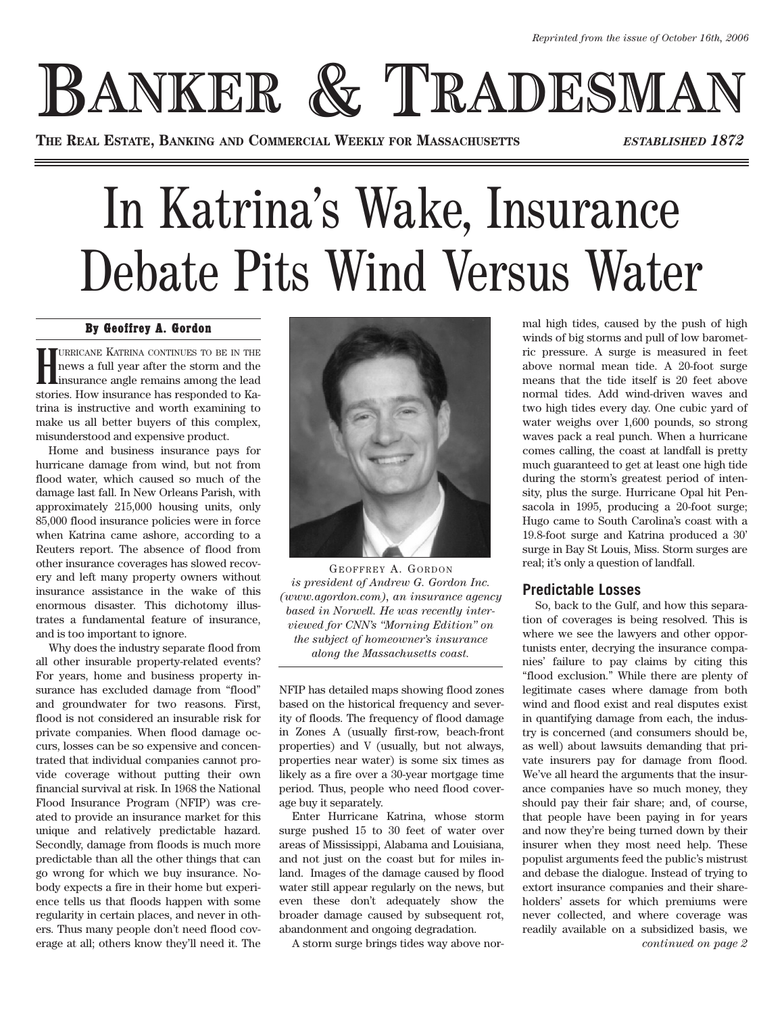## **BANKER & TRADESMAN**

**THE REAL ESTATE, BANKING AND COMMERCIAL WEEKLY FOR MASSACHUSETTS** *ESTABLISHED 1872*

## In Katrina's Wake, Insurance Debate Pits Wind Versus Water

## By Geoffrey A. Gordon

**H** URRICANE KATRINA CONTINUES TO BE IN THE news a full year after the storm and the insurance angle remains among the lead stories. How insurance has responded to Katrina is instructive and worth examining to make us all better buyers of this complex, misunderstood and expensive product.

Home and business insurance pays for hurricane damage from wind, but not from flood water, which caused so much of the damage last fall. In New Orleans Parish, with approximately 215,000 housing units, only 85,000 flood insurance policies were in force when Katrina came ashore, according to a Reuters report. The absence of flood from other insurance coverages has slowed recovery and left many property owners without insurance assistance in the wake of this enormous disaster. This dichotomy illustrates a fundamental feature of insurance, and is too important to ignore.

Why does the industry separate flood from all other insurable property-related events? For years, home and business property insurance has excluded damage from "flood" and groundwater for two reasons. First, flood is not considered an insurable risk for private companies. When flood damage occurs, losses can be so expensive and concentrated that individual companies cannot provide coverage without putting their own financial survival at risk. In 1968 the National Flood Insurance Program (NFIP) was created to provide an insurance market for this unique and relatively predictable hazard. Secondly, damage from floods is much more predictable than all the other things that can go wrong for which we buy insurance. Nobody expects a fire in their home but experience tells us that floods happen with some regularity in certain places, and never in others. Thus many people don't need flood coverage at all; others know they'll need it. The



GEOFFREY A. GORDON *is president of Andrew G. Gordon Inc. (www.agordon.com), an insurance agency based in Norwell. He was recently interviewed for CNN's "Morning Edition" on the subject of homeowner's insurance along the Massachusetts coast.*

NFIP has detailed maps showing flood zones based on the historical frequency and severity of floods. The frequency of flood damage in Zones A (usually first-row, beach-front properties) and V (usually, but not always, properties near water) is some six times as likely as a fire over a 30-year mortgage time period. Thus, people who need flood coverage buy it separately.

Enter Hurricane Katrina, whose storm surge pushed 15 to 30 feet of water over areas of Mississippi, Alabama and Louisiana, and not just on the coast but for miles inland. Images of the damage caused by flood water still appear regularly on the news, but even these don't adequately show the broader damage caused by subsequent rot, abandonment and ongoing degradation.

A storm surge brings tides way above nor-

mal high tides, caused by the push of high winds of big storms and pull of low barometric pressure. A surge is measured in feet above normal mean tide. A 20-foot surge means that the tide itself is 20 feet above normal tides. Add wind-driven waves and two high tides every day. One cubic yard of water weighs over 1,600 pounds, so strong waves pack a real punch. When a hurricane comes calling, the coast at landfall is pretty much guaranteed to get at least one high tide during the storm's greatest period of intensity, plus the surge. Hurricane Opal hit Pensacola in 1995, producing a 20-foot surge; Hugo came to South Carolina's coast with a 19.8-foot surge and Katrina produced a 30' surge in Bay St Louis, Miss. Storm surges are real; it's only a question of landfall.

## **Predictable Losses**

So, back to the Gulf, and how this separation of coverages is being resolved. This is where we see the lawyers and other opportunists enter, decrying the insurance companies' failure to pay claims by citing this "flood exclusion." While there are plenty of legitimate cases where damage from both wind and flood exist and real disputes exist in quantifying damage from each, the industry is concerned (and consumers should be, as well) about lawsuits demanding that private insurers pay for damage from flood. We've all heard the arguments that the insurance companies have so much money, they should pay their fair share; and, of course, that people have been paying in for years and now they're being turned down by their insurer when they most need help. These populist arguments feed the public's mistrust and debase the dialogue. Instead of trying to extort insurance companies and their shareholders' assets for which premiums were never collected, and where coverage was readily available on a subsidized basis, we *continued on page 2*